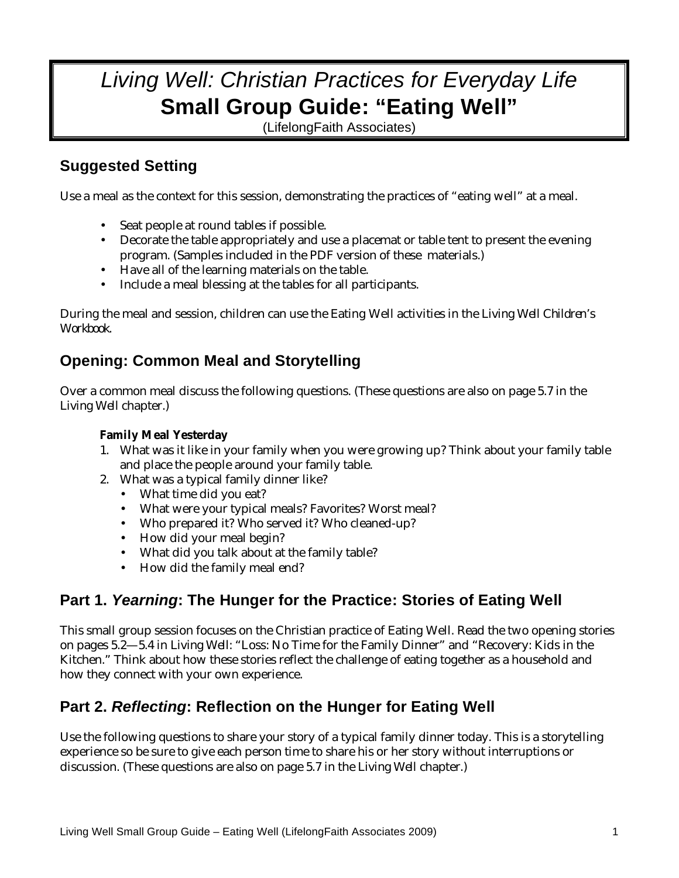# *Living Well: Christian Practices for Everyday Life*  **Small Group Guide: "Eating Well"**

(LifelongFaith Associates)

## **Suggested Setting**

Use a meal as the context for this session, demonstrating the practices of "eating well" at a meal.

- Seat people at round tables if possible.
- Decorate the table appropriately and use a placemat or table tent to present the evening program. (Samples included in the PDF version of these materials.)
- Have all of the learning materials on the table.
- Include a meal blessing at the tables for all participants.

During the meal and session, children can use the Eating Well activities in the *Living Well Children's Workbook.* 

## **Opening: Common Meal and Storytelling**

Over a common meal discuss the following questions. (These questions are also on page 5.7 in the *Living Well* chapter.)

#### **Family Meal Yesterday**

- 1. What was it like in your family when you were growing up? Think about your family table and place the people around your family table.
- 2. What was a typical family dinner like?
	- What time did you eat?
	- What were your typical meals? Favorites? Worst meal?
	- Who prepared it? Who served it? Who cleaned-up?
	- How did your meal begin?
	- What did you talk about at the family table?
	- How did the family meal end?

## **Part 1.** *Yearning***: The Hunger for the Practice: Stories of Eating Well**

This small group session focuses on the Christian practice of Eating Well. Read the two opening stories on pages 5.2—5.4 in *Living Well*: "Loss: No Time for the Family Dinner" and "Recovery: Kids in the Kitchen." Think about how these stories reflect the challenge of eating together as a household and how they connect with your own experience.

## **Part 2.** *Reflecting***: Reflection on the Hunger for Eating Well**

Use the following questions to share your story of a typical family dinner today. This is a storytelling experience so be sure to give each person time to share his or her story without interruptions or discussion. (These questions are also on page 5.7 in the *Living Well* chapter.)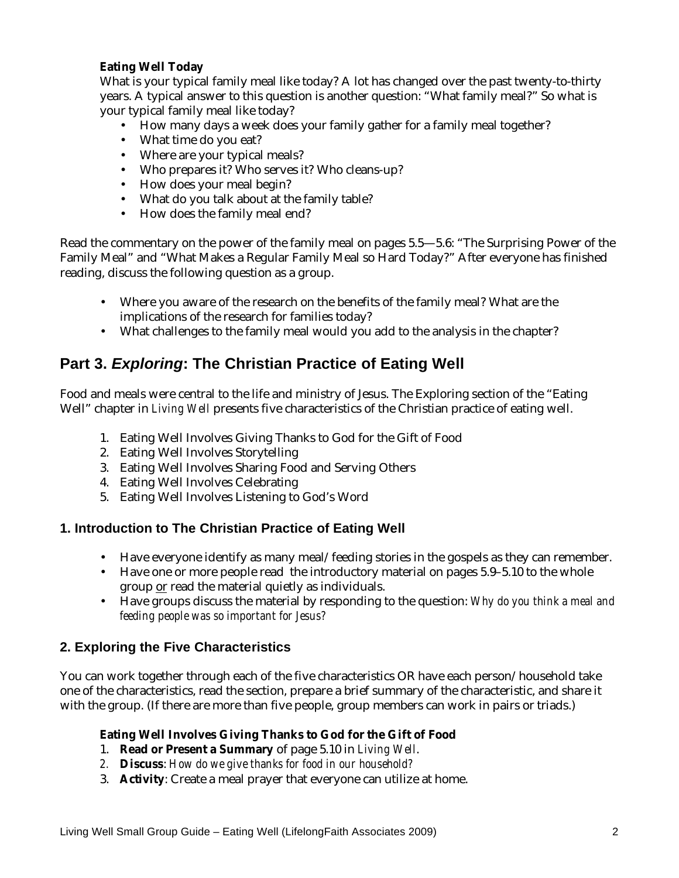#### **Eating Well Today**

What is your typical family meal like today? A lot has changed over the past twenty-to-thirty years. A typical answer to this question is another question: "What family meal?" So what is your typical family meal like today?

- How many days a week does your family gather for a family meal together?
- What time do you eat?
- Where are your typical meals?
- Who prepares it? Who serves it? Who cleans-up?
- How does your meal begin?
- What do you talk about at the family table?
- How does the family meal end?

Read the commentary on the power of the family meal on pages 5.5—5.6: "The Surprising Power of the Family Meal" and "What Makes a Regular Family Meal so Hard Today?" After everyone has finished reading, discuss the following question as a group.

- Where you aware of the research on the benefits of the family meal? What are the implications of the research for families today?
- What challenges to the family meal would you add to the analysis in the chapter?

### **Part 3.** *Exploring***: The Christian Practice of Eating Well**

Food and meals were central to the life and ministry of Jesus. The Exploring section of the "Eating Well" chapter in *Living Well* presents five characteristics of the Christian practice of eating well.

- 1. Eating Well Involves Giving Thanks to God for the Gift of Food
- 2. Eating Well Involves Storytelling
- 3. Eating Well Involves Sharing Food and Serving Others
- 4. Eating Well Involves Celebrating
- 5. Eating Well Involves Listening to God's Word

#### **1. Introduction to The Christian Practice of Eating Well**

- Have everyone identify as many meal/feeding stories in the gospels as they can remember.
- Have one or more people read the introductory material on pages 5.9–5.10 to the whole group or read the material quietly as individuals.
- Have groups discuss the material by responding to the question: *Why do you think a meal and feeding people was so important for Jesus?*

#### **2. Exploring the Five Characteristics**

You can work together through each of the five characteristics OR have each person/household take one of the characteristics, read the section, prepare a brief summary of the characteristic, and share it with the group. (If there are more than five people, group members can work in pairs or triads.)

#### **Eating Well Involves Giving Thanks to God for the Gift of Food**

- 1. **Read or Present a Summary** of page 5.10 in *Living Well*.
- *2.* **Discuss**: *How do we give thanks for food in our household?*
- 3. **Activity**: Create a meal prayer that everyone can utilize at home.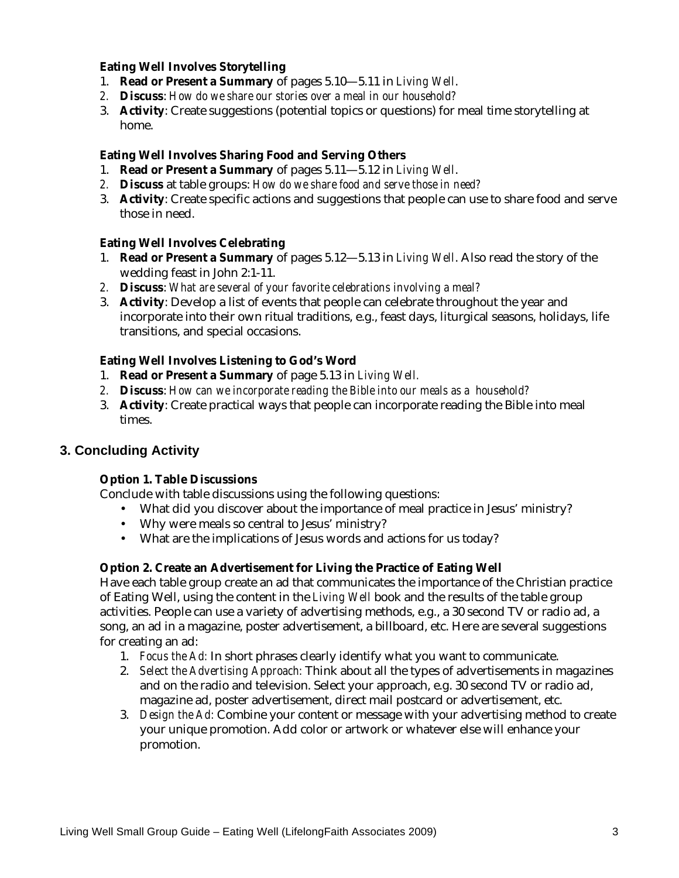#### **Eating Well Involves Storytelling**

- 1. **Read or Present a Summary** of pages 5.10—5.11 in *Living Well*.
- *2.* **Discuss**: *How do we share our stories over a meal in our household?*
- 3. **Activity**: Create suggestions (potential topics or questions) for meal time storytelling at home.

#### **Eating Well Involves Sharing Food and Serving Others**

- 1. **Read or Present a Summary** of pages 5.11—5.12 in *Living Well*.
- *2.* **Discuss** at table groups: *How do we share food and serve those in need?*
- 3. **Activity**: Create specific actions and suggestions that people can use to share food and serve those in need.

#### **Eating Well Involves Celebrating**

- 1. **Read or Present a Summary** of pages 5.12—5.13 in *Living Well*. Also read the story of the wedding feast in John 2:1-11.
- *2.* **Discuss**: *What are several of your favorite celebrations involving a meal?*
- 3. **Activity**: Develop a list of events that people can celebrate throughout the year and incorporate into their own ritual traditions, e.g., feast days, liturgical seasons, holidays, life transitions, and special occasions.

#### **Eating Well Involves Listening to God's Word**

- 1. **Read or Present a Summary** of page 5.13 in *Living Well.*
- *2.* **Discuss**: *How can we incorporate reading the Bible into our meals as a household?*
- 3. **Activity**: Create practical ways that people can incorporate reading the Bible into meal times.

#### **3. Concluding Activity**

#### **Option 1. Table Discussions**

Conclude with table discussions using the following questions:

- What did you discover about the importance of meal practice in Jesus' ministry?
- Why were meals so central to Jesus' ministry?
- What are the implications of Jesus words and actions for us today?

#### **Option 2. Create an Advertisement for Living the Practice of Eating Well**

Have each table group create an ad that communicates the importance of the Christian practice of Eating Well, using the content in the *Living Well* book and the results of the table group activities. People can use a variety of advertising methods, e.g., a 30 second TV or radio ad, a song, an ad in a magazine, poster advertisement, a billboard, etc. Here are several suggestions for creating an ad:

- 1. *Focus the Ad:* In short phrases clearly identify what you want to communicate.
- 2. *Select the Advertising Approach:* Think about all the types of advertisements in magazines and on the radio and television. Select your approach, e.g. 30 second TV or radio ad, magazine ad, poster advertisement, direct mail postcard or advertisement, etc.
- 3. *Design the Ad:* Combine your content or message with your advertising method to create your unique promotion. Add color or artwork or whatever else will enhance your promotion.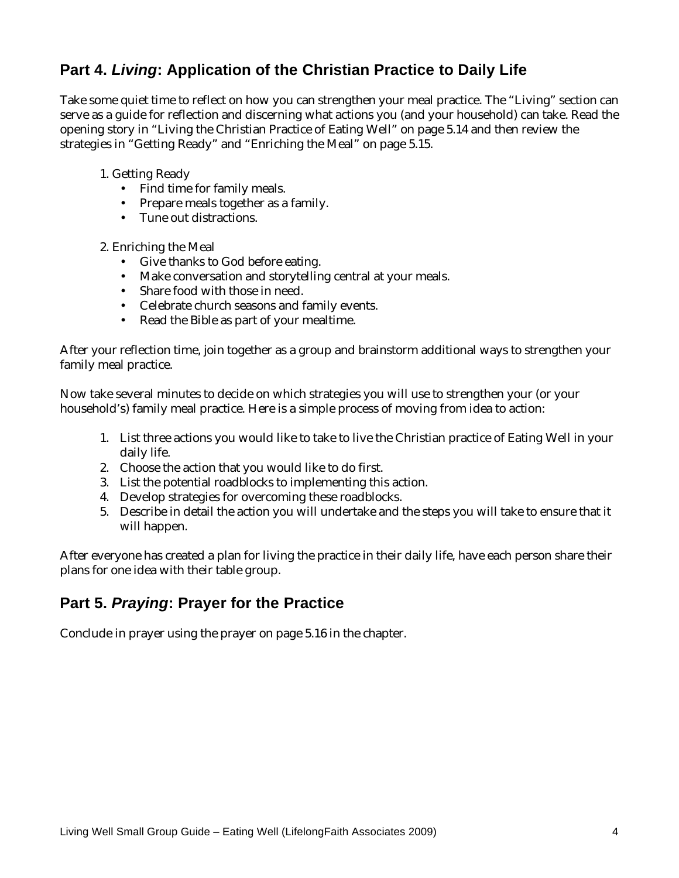## **Part 4.** *Living***: Application of the Christian Practice to Daily Life**

Take some quiet time to reflect on how you can strengthen your meal practice. The "Living" section can serve as a guide for reflection and discerning what actions you (and your household) can take. Read the opening story in "Living the Christian Practice of Eating Well" on page 5.14 and then review the strategies in "Getting Ready" and "Enriching the Meal" on page 5.15.

- 1. Getting Ready
	- Find time for family meals.
	- Prepare meals together as a family.
	- Tune out distractions.
- 2. Enriching the Meal
	- Give thanks to God before eating.
	- Make conversation and storytelling central at your meals.
	- Share food with those in need.
	- Celebrate church seasons and family events.
	- Read the Bible as part of your mealtime.

After your reflection time, join together as a group and brainstorm additional ways to strengthen your family meal practice.

Now take several minutes to decide on which strategies you will use to strengthen your (or your household's) family meal practice. Here is a simple process of moving from idea to action:

- 1. List three actions you would like to take to live the Christian practice of Eating Well in your daily life.
- 2. Choose the action that you would like to do first.
- 3. List the potential roadblocks to implementing this action.
- 4. Develop strategies for overcoming these roadblocks.
- 5. Describe in detail the action you will undertake and the steps you will take to ensure that it will happen.

After everyone has created a plan for living the practice in their daily life, have each person share their plans for one idea with their table group.

## **Part 5.** *Praying***: Prayer for the Practice**

Conclude in prayer using the prayer on page 5.16 in the chapter.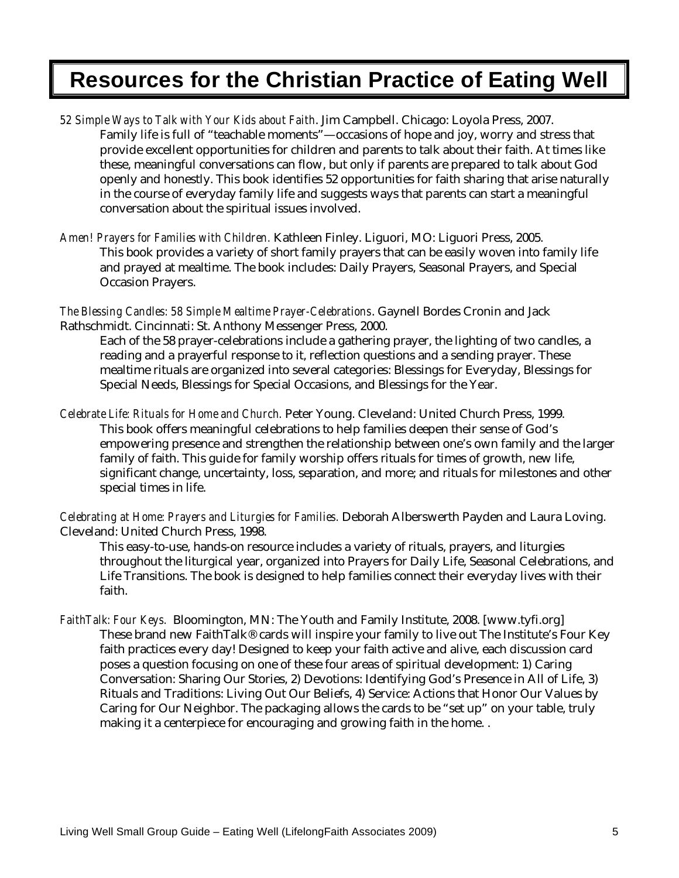# **Resources for the Christian Practice of Eating Well**

- *52 Simple Ways to Talk with Your Kids about Faith*. Jim Campbell. Chicago: Loyola Press, 2007. Family life is full of "teachable moments"—occasions of hope and joy, worry and stress that provide excellent opportunities for children and parents to talk about their faith. At times like these, meaningful conversations can flow, but only if parents are prepared to talk about God openly and honestly. This book identifies 52 opportunities for faith sharing that arise naturally in the course of everyday family life and suggests ways that parents can start a meaningful conversation about the spiritual issues involved.
- *Amen! Prayers for Families with Children.* Kathleen Finley. Liguori, MO: Liguori Press, 2005. This book provides a variety of short family prayers that can be easily woven into family life and prayed at mealtime. The book includes: Daily Prayers, Seasonal Prayers, and Special Occasion Prayers.

*The Blessing Candles: 58 Simple Mealtime Prayer-Celebrations*. Gaynell Bordes Cronin and Jack Rathschmidt. Cincinnati: St. Anthony Messenger Press, 2000.

Each of the 58 prayer-celebrations include a gathering prayer, the lighting of two candles, a reading and a prayerful response to it, reflection questions and a sending prayer. These mealtime rituals are organized into several categories: Blessings for Everyday, Blessings for Special Needs, Blessings for Special Occasions, and Blessings for the Year.

*Celebrate Life: Rituals for Home and Church.* Peter Young. Cleveland: United Church Press, 1999. This book offers meaningful celebrations to help families deepen their sense of God's empowering presence and strengthen the relationship between one's own family and the larger family of faith. This guide for family worship offers rituals for times of growth, new life, significant change, uncertainty, loss, separation, and more; and rituals for milestones and other special times in life.

*Celebrating at Home: Prayers and Liturgies for Families.* Deborah Alberswerth Payden and Laura Loving. Cleveland: United Church Press, 1998.

This easy-to-use, hands-on resource includes a variety of rituals, prayers, and liturgies throughout the liturgical year, organized into Prayers for Daily Life, Seasonal Celebrations, and Life Transitions. The book is designed to help families connect their everyday lives with their faith.

*FaithTalk: Four Keys.* Bloomington, MN: The Youth and Family Institute, 2008. [www.tyfi.org] These brand new FaithTalk® cards will inspire your family to live out The Institute's Four Key faith practices every day! Designed to keep your faith active and alive, each discussion card poses a question focusing on one of these four areas of spiritual development: 1) Caring Conversation: Sharing Our Stories, 2) Devotions: Identifying God's Presence in All of Life, 3) Rituals and Traditions: Living Out Our Beliefs, 4) Service: Actions that Honor Our Values by Caring for Our Neighbor. The packaging allows the cards to be "set up" on your table, truly making it a centerpiece for encouraging and growing faith in the home. .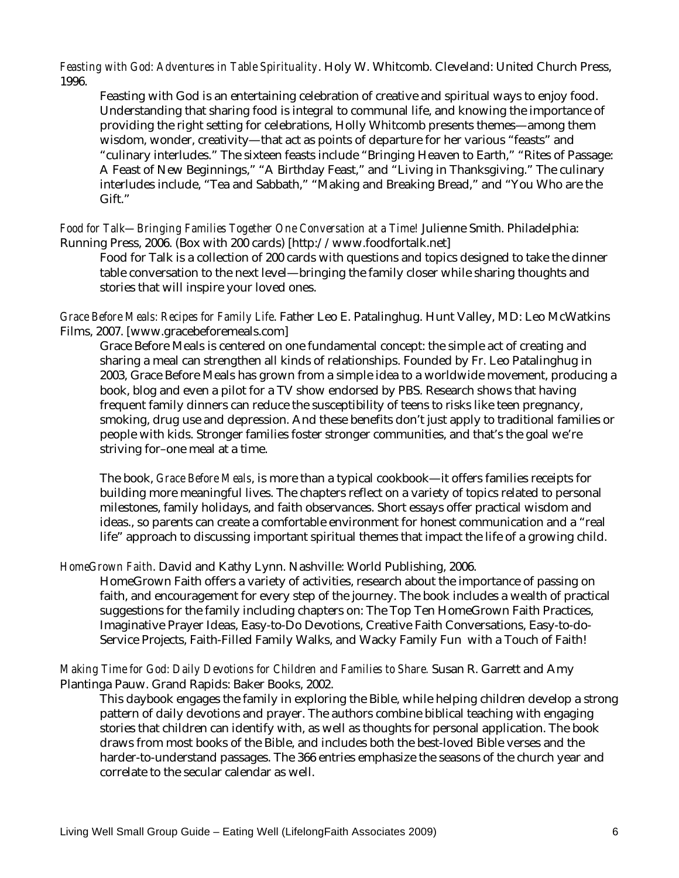*Feasting with God: Adventures in Table Spirituality*. Holy W. Whitcomb. Cleveland: United Church Press, 1996.

Feasting with God is an entertaining celebration of creative and spiritual ways to enjoy food. Understanding that sharing food is integral to communal life, and knowing the importance of providing the right setting for celebrations, Holly Whitcomb presents themes—among them wisdom, wonder, creativity—that act as points of departure for her various "feasts" and "culinary interludes." The sixteen feasts include "Bringing Heaven to Earth," "Rites of Passage: A Feast of New Beginnings," "A Birthday Feast," and "Living in Thanksgiving." The culinary interludes include, "Tea and Sabbath," "Making and Breaking Bread," and "You Who are the Gift."

*Food for Talk—Bringing Families Together One Conversation at a Time!* Julienne Smith. Philadelphia: Running Press, 2006. (Box with 200 cards) [http://www.foodfortalk.net]

Food for Talk is a collection of 200 cards with questions and topics designed to take the dinner table conversation to the next level—bringing the family closer while sharing thoughts and stories that will inspire your loved ones.

*Grace Before Meals: Recipes for Family Life*. Father Leo E. Patalinghug. Hunt Valley, MD: Leo McWatkins Films, 2007. [www.gracebeforemeals.com]

Grace Before Meals is centered on one fundamental concept: the simple act of creating and sharing a meal can strengthen all kinds of relationships. Founded by Fr. Leo Patalinghug in 2003, Grace Before Meals has grown from a simple idea to a worldwide movement, producing a book, blog and even a pilot for a TV show endorsed by PBS. Research shows that having frequent family dinners can reduce the susceptibility of teens to risks like teen pregnancy, smoking, drug use and depression. And these benefits don't just apply to traditional families or people with kids. Stronger families foster stronger communities, and that's the goal we're striving for–one meal at a time.

The book, *Grace Before Meals*, is more than a typical cookbook—it offers families receipts for building more meaningful lives. The chapters reflect on a variety of topics related to personal milestones, family holidays, and faith observances. Short essays offer practical wisdom and ideas., so parents can create a comfortable environment for honest communication and a "real life" approach to discussing important spiritual themes that impact the life of a growing child.

#### *HomeGrown Faith*. David and Kathy Lynn. Nashville: World Publishing, 2006.

HomeGrown Faith offers a variety of activities, research about the importance of passing on faith, and encouragement for every step of the journey. The book includes a wealth of practical suggestions for the family including chapters on: The Top Ten HomeGrown Faith Practices, Imaginative Prayer Ideas, Easy-to-Do Devotions, Creative Faith Conversations, Easy-to-do-Service Projects, Faith-Filled Family Walks, and Wacky Family Fun with a Touch of Faith!

*Making Time for God: Daily Devotions for Children and Families to Share.* Susan R. Garrett and Amy Plantinga Pauw. Grand Rapids: Baker Books, 2002.

This daybook engages the family in exploring the Bible, while helping children develop a strong pattern of daily devotions and prayer. The authors combine biblical teaching with engaging stories that children can identify with, as well as thoughts for personal application. The book draws from most books of the Bible, and includes both the best-loved Bible verses and the harder-to-understand passages. The 366 entries emphasize the seasons of the church year and correlate to the secular calendar as well.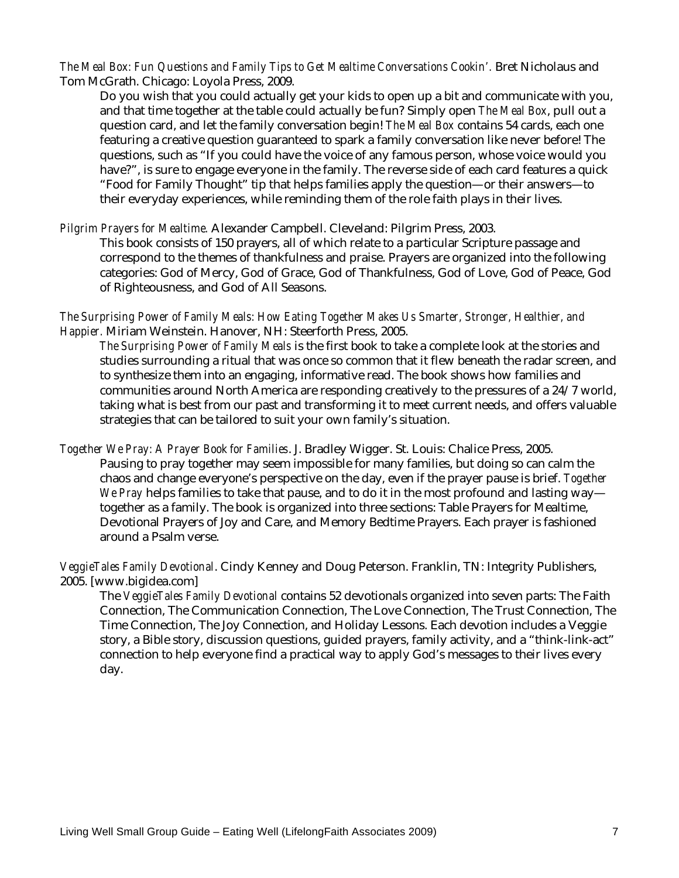*The Meal Box: Fun Questions and Family Tips to Get Mealtime Conversations Cookin'.* Bret Nicholaus and Tom McGrath. Chicago: Loyola Press, 2009.

Do you wish that you could actually get your kids to open up a bit and communicate with you, and that time together at the table could actually be fun? Simply open *The Meal Box*, pull out a question card, and let the family conversation begin! *The Meal Box* contains 54 cards, each one featuring a creative question guaranteed to spark a family conversation like never before! The questions, such as "If you could have the voice of any famous person, whose voice would you have?", is sure to engage everyone in the family. The reverse side of each card features a quick "Food for Family Thought" tip that helps families apply the question—or their answers—to their everyday experiences, while reminding them of the role faith plays in their lives.

#### *Pilgrim Prayers for Mealtime.* Alexander Campbell. Cleveland: Pilgrim Press, 2003.

This book consists of 150 prayers, all of which relate to a particular Scripture passage and correspond to the themes of thankfulness and praise. Prayers are organized into the following categories: God of Mercy, God of Grace, God of Thankfulness, God of Love, God of Peace, God of Righteousness, and God of All Seasons.

*The Surprising Power of Family Meals: How Eating Together Makes Us Smarter, Stronger, Healthier, and Happier.* Miriam Weinstein. Hanover, NH: Steerforth Press, 2005.

*The Surprising Power of Family Meals* is the first book to take a complete look at the stories and studies surrounding a ritual that was once so common that it flew beneath the radar screen, and to synthesize them into an engaging, informative read. The book shows how families and communities around North America are responding creatively to the pressures of a 24/7 world, taking what is best from our past and transforming it to meet current needs, and offers valuable strategies that can be tailored to suit your own family's situation.

*Together We Pray: A Prayer Book for Families*. J. Bradley Wigger. St. Louis: Chalice Press, 2005. Pausing to pray together may seem impossible for many families, but doing so can calm the chaos and change everyone's perspective on the day, even if the prayer pause is brief. *Together We Pray* helps families to take that pause, and to do it in the most profound and lasting way together as a family. The book is organized into three sections: Table Prayers for Mealtime, Devotional Prayers of Joy and Care, and Memory Bedtime Prayers. Each prayer is fashioned around a Psalm verse.

*VeggieTales Family Devotional*. Cindy Kenney and Doug Peterson. Franklin, TN: Integrity Publishers, 2005. [www.bigidea.com]

The *VeggieTales Family Devotional* contains 52 devotionals organized into seven parts: The Faith Connection, The Communication Connection, The Love Connection, The Trust Connection, The Time Connection, The Joy Connection, and Holiday Lessons. Each devotion includes a Veggie story, a Bible story, discussion questions, guided prayers, family activity, and a "think-link-act" connection to help everyone find a practical way to apply God's messages to their lives every day.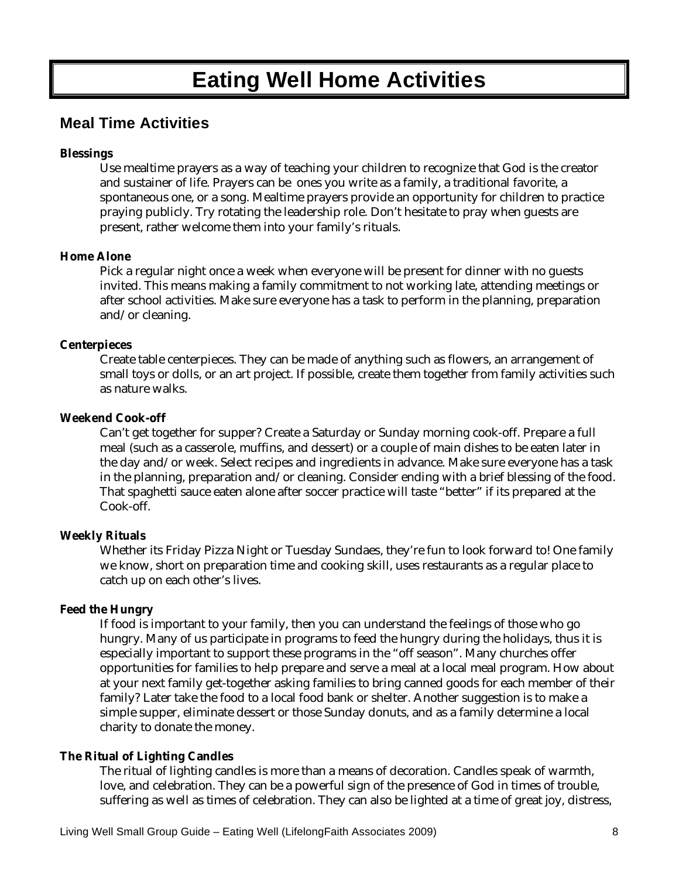# **Eating Well Home Activities**

### **Meal Time Activities**

#### **Blessings**

Use mealtime prayers as a way of teaching your children to recognize that God is the creator and sustainer of life. Prayers can be ones you write as a family, a traditional favorite, a spontaneous one, or a song. Mealtime prayers provide an opportunity for children to practice praying publicly. Try rotating the leadership role. Don't hesitate to pray when guests are present, rather welcome them into your family's rituals.

#### **Home Alone**

Pick a regular night once a week when everyone will be present for dinner with no guests invited. This means making a family commitment to not working late, attending meetings or after school activities. Make sure everyone has a task to perform in the planning, preparation and/or cleaning.

#### **Centerpieces**

Create table centerpieces. They can be made of anything such as flowers, an arrangement of small toys or dolls, or an art project. If possible, create them together from family activities such as nature walks.

#### **Weekend Cook-off**

Can't get together for supper? Create a Saturday or Sunday morning cook-off. Prepare a full meal (such as a casserole, muffins, and dessert) or a couple of main dishes to be eaten later in the day and/or week. Select recipes and ingredients in advance. Make sure everyone has a task in the planning, preparation and/or cleaning. Consider ending with a brief blessing of the food. That spaghetti sauce eaten alone after soccer practice will taste "better" if its prepared at the Cook-off.

#### **Weekly Rituals**

Whether its Friday Pizza Night or Tuesday Sundaes, they're fun to look forward to! One family we know, short on preparation time and cooking skill, uses restaurants as a regular place to catch up on each other's lives.

#### **Feed the Hungry**

If food is important to your family, then you can understand the feelings of those who go hungry. Many of us participate in programs to feed the hungry during the holidays, thus it is especially important to support these programs in the "off season". Many churches offer opportunities for families to help prepare and serve a meal at a local meal program. How about at your next family get-together asking families to bring canned goods for each member of their family? Later take the food to a local food bank or shelter. Another suggestion is to make a simple supper, eliminate dessert or those Sunday donuts, and as a family determine a local charity to donate the money.

#### **The Ritual of Lighting Candles**

The ritual of lighting candles is more than a means of decoration. Candles speak of warmth, love, and celebration. They can be a powerful sign of the presence of God in times of trouble, suffering as well as times of celebration. They can also be lighted at a time of great joy, distress,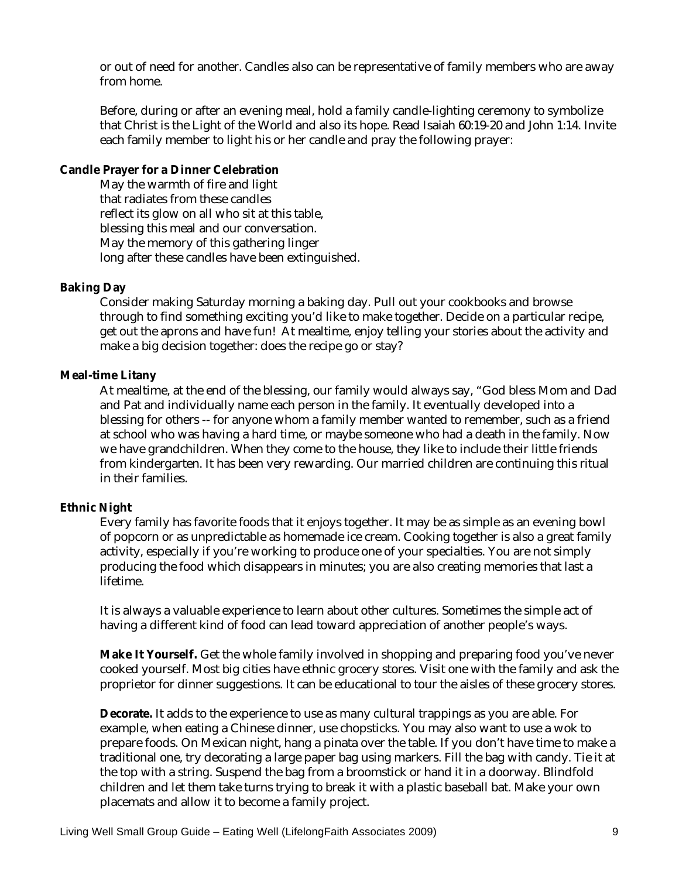or out of need for another. Candles also can be representative of family members who are away from home.

Before, during or after an evening meal, hold a family candle-lighting ceremony to symbolize that Christ is the Light of the World and also its hope. Read Isaiah 60:19-20 and John 1:14. Invite each family member to light his or her candle and pray the following prayer:

#### **Candle Prayer for a Dinner Celebration**

May the warmth of fire and light that radiates from these candles reflect its glow on all who sit at this table, blessing this meal and our conversation. May the memory of this gathering linger long after these candles have been extinguished.

#### **Baking Day**

Consider making Saturday morning a baking day. Pull out your cookbooks and browse through to find something exciting you'd like to make together. Decide on a particular recipe, get out the aprons and have fun! At mealtime, enjoy telling your stories about the activity and make a big decision together: does the recipe go or stay?

#### **Meal-time Litany**

At mealtime, at the end of the blessing, our family would always say, "God bless Mom and Dad and Pat and individually name each person in the family. It eventually developed into a blessing for others -- for anyone whom a family member wanted to remember, such as a friend at school who was having a hard time, or maybe someone who had a death in the family. Now we have grandchildren. When they come to the house, they like to include their little friends from kindergarten. It has been very rewarding. Our married children are continuing this ritual in their families.

#### **Ethnic Night**

Every family has favorite foods that it enjoys together. It may be as simple as an evening bowl of popcorn or as unpredictable as homemade ice cream. Cooking together is also a great family activity, especially if you're working to produce one of your specialties. You are not simply producing the food which disappears in minutes; you are also creating memories that last a lifetime.

It is always a valuable experience to learn about other cultures. Sometimes the simple act of having a different kind of food can lead toward appreciation of another people's ways.

**Make It Yourself.** Get the whole family involved in shopping and preparing food you've never cooked yourself. Most big cities have ethnic grocery stores. Visit one with the family and ask the proprietor for dinner suggestions. It can be educational to tour the aisles of these grocery stores.

**Decorate.** It adds to the experience to use as many cultural trappings as you are able. For example, when eating a Chinese dinner, use chopsticks. You may also want to use a wok to prepare foods. On Mexican night, hang a pinata over the table. If you don't have time to make a traditional one, try decorating a large paper bag using markers. Fill the bag with candy. Tie it at the top with a string. Suspend the bag from a broomstick or hand it in a doorway. Blindfold children and let them take turns trying to break it with a plastic baseball bat. Make your own placemats and allow it to become a family project.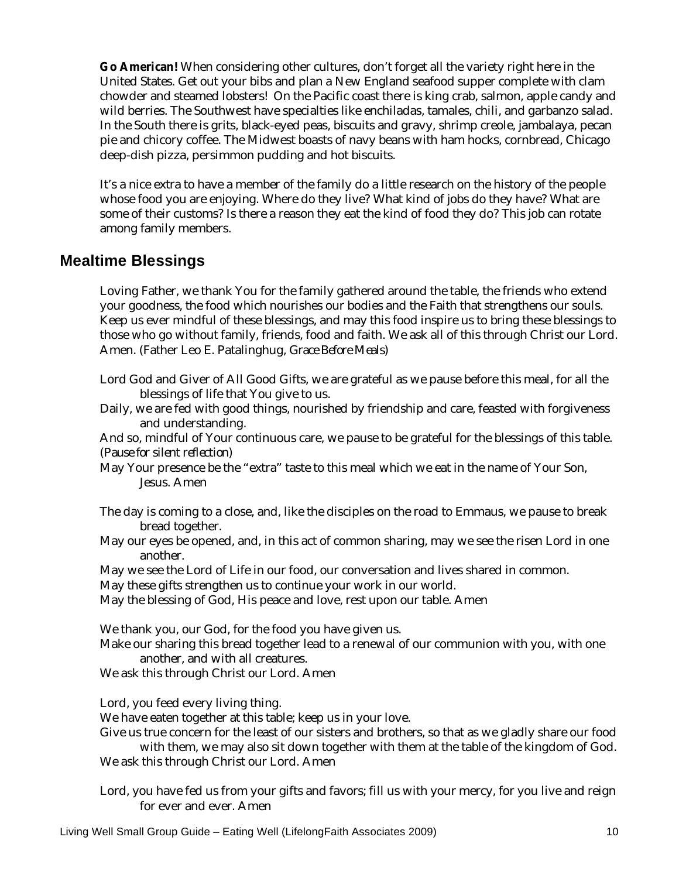**Go American!** When considering other cultures, don't forget all the variety right here in the United States. Get out your bibs and plan a New England seafood supper complete with clam chowder and steamed lobsters! On the Pacific coast there is king crab, salmon, apple candy and wild berries. The Southwest have specialties like enchiladas, tamales, chili, and garbanzo salad. In the South there is grits, black-eyed peas, biscuits and gravy, shrimp creole, jambalaya, pecan pie and chicory coffee. The Midwest boasts of navy beans with ham hocks, cornbread, Chicago deep-dish pizza, persimmon pudding and hot biscuits.

It's a nice extra to have a member of the family do a little research on the history of the people whose food you are enjoying. Where do they live? What kind of jobs do they have? What are some of their customs? Is there a reason they eat the kind of food they do? This job can rotate among family members.

### **Mealtime Blessings**

Loving Father, we thank You for the family gathered around the table, the friends who extend your goodness, the food which nourishes our bodies and the Faith that strengthens our souls. Keep us ever mindful of these blessings, and may this food inspire us to bring these blessings to those who go without family, friends, food and faith. We ask all of this through Christ our Lord. Amen. (Father Leo E. Patalinghug, *Grace Before Meals*)

- Lord God and Giver of All Good Gifts, we are grateful as we pause before this meal, for all the blessings of life that You give to us.
- Daily, we are fed with good things, nourished by friendship and care, feasted with forgiveness and understanding.

And so, mindful of Your continuous care, we pause to be grateful for the blessings of this table. *(Pause for silent reflection)* 

- May Your presence be the "extra" taste to this meal which we eat in the name of Your Son, Jesus. Amen
- The day is coming to a close, and, like the disciples on the road to Emmaus, we pause to break bread together.
- May our eyes be opened, and, in this act of common sharing, may we see the risen Lord in one another.
- May we see the Lord of Life in our food, our conversation and lives shared in common.

May these gifts strengthen us to continue your work in our world.

May the blessing of God, His peace and love, rest upon our table. Amen

We thank you, our God, for the food you have given us.

Make our sharing this bread together lead to a renewal of our communion with you, with one another, and with all creatures.

We ask this through Christ our Lord. Amen

Lord, you feed every living thing.

We have eaten together at this table; keep us in your love.

Give us true concern for the least of our sisters and brothers, so that as we gladly share our food with them, we may also sit down together with them at the table of the kingdom of God.

We ask this through Christ our Lord. Amen

Lord, you have fed us from your gifts and favors; fill us with your mercy, for you live and reign for ever and ever. Amen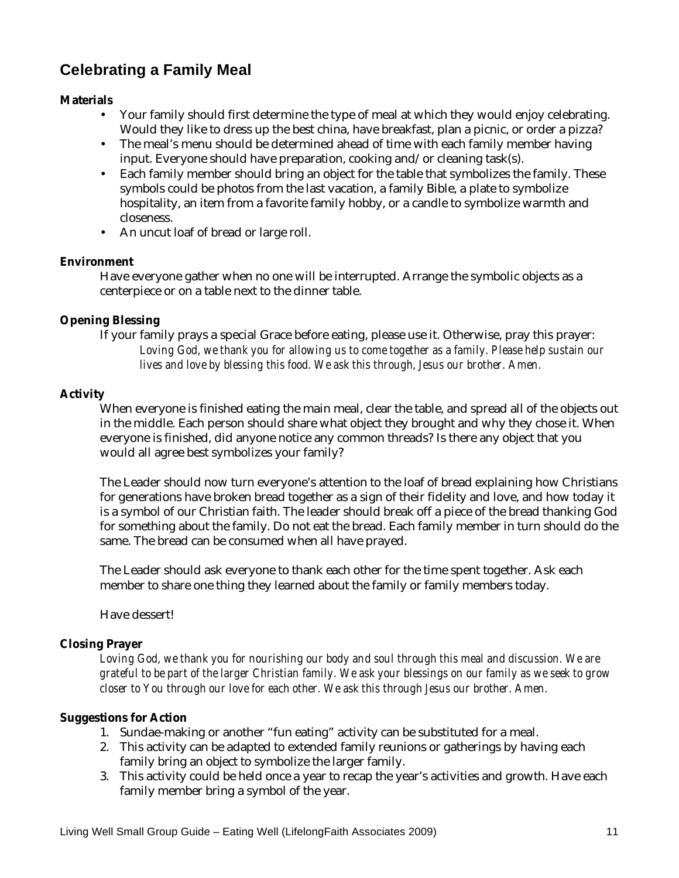## **Celebrating a Family Meal**

#### **Materials**

- Your family should first determine the type of meal at which they would enjoy celebrating. Would they like to dress up the best china, have breakfast, plan a picnic, or order a pizza?
- The meal's menu should be determined ahead of time with each family member having input. Everyone should have preparation, cooking and/or cleaning task(s).
- Each family member should bring an object for the table that symbolizes the family. These symbols could be photos from the last vacation, a family Bible, a plate to symbolize hospitality, an item from a favorite family hobby, or a candle to symbolize warmth and closeness.
- An uncut loaf of bread or large roll.

#### **Environment**

Have everyone gather when no one will be interrupted. Arrange the symbolic objects as a centerpiece or on a table next to the dinner table.

#### **Opening Blessing**

If your family prays a special Grace before eating, please use it. Otherwise, pray this prayer: *Loving God, we thank you for allowing us to come together as a family. Please help sustain our lives and love by blessing this food. We ask this through, Jesus our brother. Amen.*

#### **Activity**

When everyone is finished eating the main meal, clear the table, and spread all of the objects out in the middle. Each person should share what object they brought and why they chose it. When everyone is finished, did anyone notice any common threads? Is there any object that you would all agree best symbolizes your family?

The Leader should now turn everyone's attention to the loaf of bread explaining how Christians for generations have broken bread together as a sign of their fidelity and love, and how today it is a symbol of our Christian faith. The leader should break off a piece of the bread thanking God for something about the family. Do not eat the bread. Each family member in turn should do the same. The bread can be consumed when all have prayed.

The Leader should ask everyone to thank each other for the time spent together. Ask each member to share one thing they learned about the family or family members today.

Have dessert!

#### **Closing Prayer**

*Loving God, we thank you for nourishing our body and soul through this meal and discussion. We are grateful to be part of the larger Christian family. We ask your blessings on our family as we seek to grow closer to You through our love for each other. We ask this through Jesus our brother. Amen.* 

#### **Suggestions for Action**

- 1. Sundae-making or another "fun eating" activity can be substituted for a meal.
- 2. This activity can be adapted to extended family reunions or gatherings by having each family bring an object to symbolize the larger family.
- 3. This activity could be held once a year to recap the year's activities and growth. Have each family member bring a symbol of the year.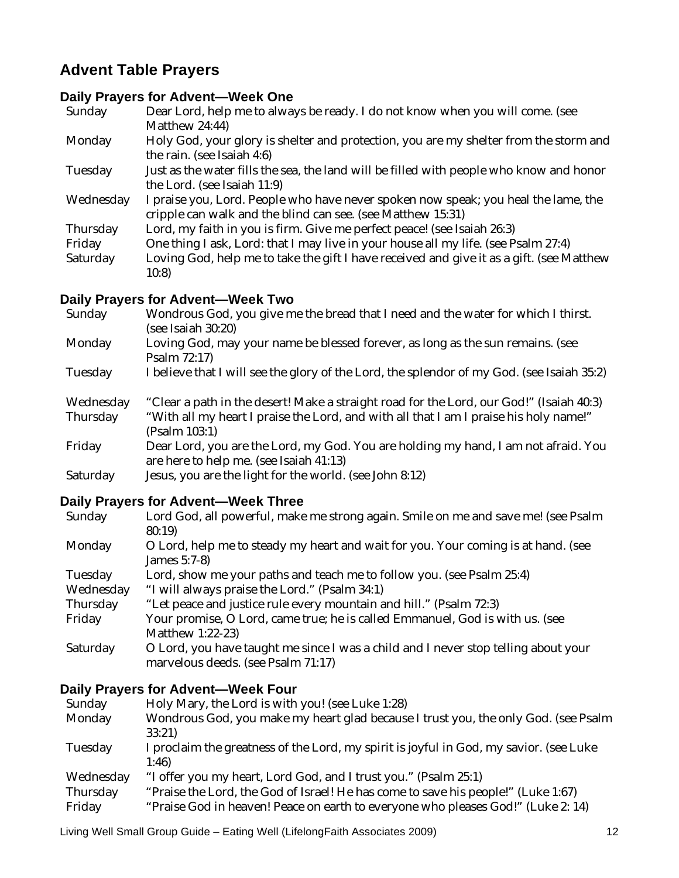## **Advent Table Prayers**

## **Daily Prayers for Advent—Week One**

| Sunday    | Dear Lord, help me to always be ready. I do not know when you will come. (see<br>Matthew 24:44)                                                   |
|-----------|---------------------------------------------------------------------------------------------------------------------------------------------------|
| Monday    | Holy God, your glory is shelter and protection, you are my shelter from the storm and<br>the rain. (see Isaiah 4:6)                               |
| Tuesday   | Just as the water fills the sea, the land will be filled with people who know and honor<br>the Lord. (see Isaiah 11:9)                            |
| Wednesday | I praise you, Lord. People who have never spoken now speak; you heal the lame, the<br>cripple can walk and the blind can see. (see Matthew 15:31) |
| Thursday  | Lord, my faith in you is firm. Give me perfect peace! (see Isaiah 26:3)                                                                           |
| Friday    | One thing I ask, Lord: that I may live in your house all my life. (see Psalm 27:4)                                                                |
| Saturday  | Loving God, help me to take the gift I have received and give it as a gift. (see Matthew<br>10:8                                                  |

#### **Daily Prayers for Advent—Week Two**

| Sunday                | Wondrous God, you give me the bread that I need and the water for which I thirst.<br>(see Isaiah 30:20)                                                                                           |
|-----------------------|---------------------------------------------------------------------------------------------------------------------------------------------------------------------------------------------------|
| Monday                | Loving God, may your name be blessed forever, as long as the sun remains. (see<br>Psalm 72:17)                                                                                                    |
| Tuesday               | I believe that I will see the glory of the Lord, the splendor of my God. (see Isaiah 35:2)                                                                                                        |
| Wednesday<br>Thursday | "Clear a path in the desert! Make a straight road for the Lord, our God!" (Isaiah 40:3)<br>"With all my heart I praise the Lord, and with all that I am I praise his holy name!"<br>(Psalm 103:1) |
| Friday                | Dear Lord, you are the Lord, my God. You are holding my hand, I am not afraid. You<br>are here to help me. (see Isaiah 41:13)                                                                     |

Saturday Jesus, you are the light for the world. (see John 8:12)

### **Daily Prayers for Advent—Week Three**

| Sunday    | Lord God, all powerful, make me strong again. Smile on me and save me! (see Psalm                                        |
|-----------|--------------------------------------------------------------------------------------------------------------------------|
|           | 80:19                                                                                                                    |
| Monday    | O Lord, help me to steady my heart and wait for you. Your coming is at hand. (see                                        |
|           | James 5:7-8)                                                                                                             |
| Tuesday   | Lord, show me your paths and teach me to follow you. (see Psalm 25:4)                                                    |
| Wednesday | "I will always praise the Lord." (Psalm 34:1)                                                                            |
| Thursday  | "Let peace and justice rule every mountain and hill." (Psalm 72:3)                                                       |
| Friday    | Your promise, O Lord, came true; he is called Emmanuel, God is with us. (see                                             |
|           | Matthew 1:22-23)                                                                                                         |
| Saturday  | O Lord, you have taught me since I was a child and I never stop telling about your<br>marvelous deeds. (see Psalm 71:17) |
|           |                                                                                                                          |

#### **Daily Prayers for Advent—Week Four**

| Sunday    | Holy Mary, the Lord is with you! (see Luke 1:28)                                       |
|-----------|----------------------------------------------------------------------------------------|
| Monday    | Wondrous God, you make my heart glad because I trust you, the only God. (see Psalm     |
|           | 33:21                                                                                  |
| Tuesday   | I proclaim the greatness of the Lord, my spirit is joyful in God, my savior. (see Luke |
|           | 1:46                                                                                   |
| Wednesday | "I offer you my heart, Lord God, and I trust you." (Psalm 25:1)                        |
| Thursday  | "Praise the Lord, the God of Israel! He has come to save his people!" (Luke 1:67)      |
| Friday    | "Praise God in heaven! Peace on earth to everyone who pleases God!" (Luke 2: 14)       |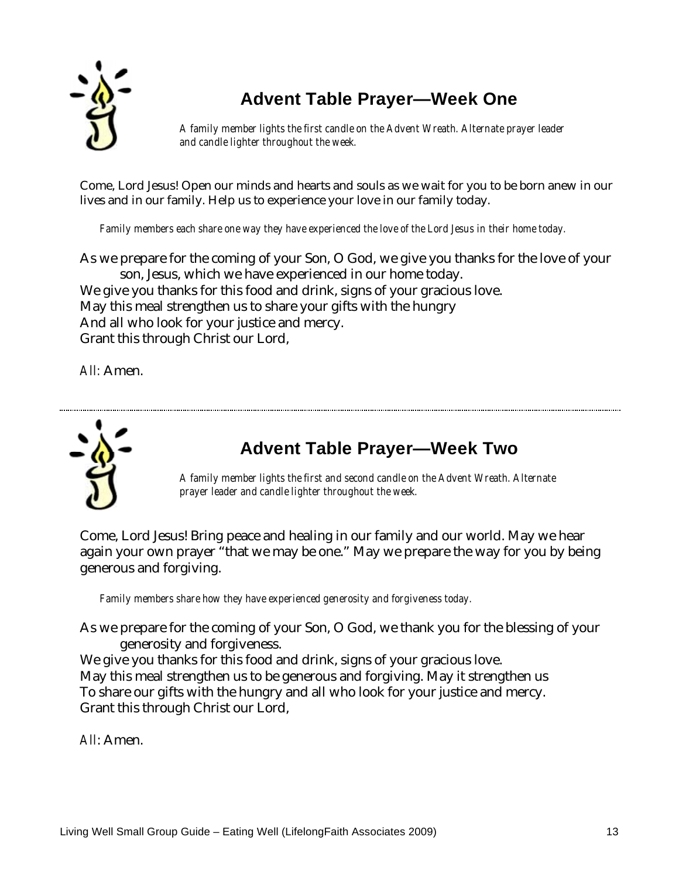

## **Advent Table Prayer—Week One**

*A family member lights the first candle on the Advent Wreath. Alternate prayer leader and candle lighter throughout the week.* 

Come, Lord Jesus! Open our minds and hearts and souls as we wait for you to be born anew in our lives and in our family. Help us to experience your love in our family today.

*Family members each share one way they have experienced the love of the Lord Jesus in their home today.* 

As we prepare for the coming of your Son, O God, we give you thanks for the love of your son, Jesus, which we have experienced in our home today. We give you thanks for this food and drink, signs of your gracious love. May this meal strengthen us to share your gifts with the hungry And all who look for your justice and mercy. Grant this through Christ our Lord,

*All:* Amen.



## **Advent Table Prayer—Week Two**

*A family member lights the first and second candle on the Advent Wreath. Alternate prayer leader and candle lighter throughout the week.* 

Come, Lord Jesus! Bring peace and healing in our family and our world. May we hear again your own prayer "that we may be one." May we prepare the way for you by being generous and forgiving.

*Family members share how they have experienced generosity and forgiveness today.* 

As we prepare for the coming of your Son, O God, we thank you for the blessing of your generosity and forgiveness.

We give you thanks for this food and drink, signs of your gracious love. May this meal strengthen us to be generous and forgiving. May it strengthen us To share our gifts with the hungry and all who look for your justice and mercy. Grant this through Christ our Lord,

*All*: Amen.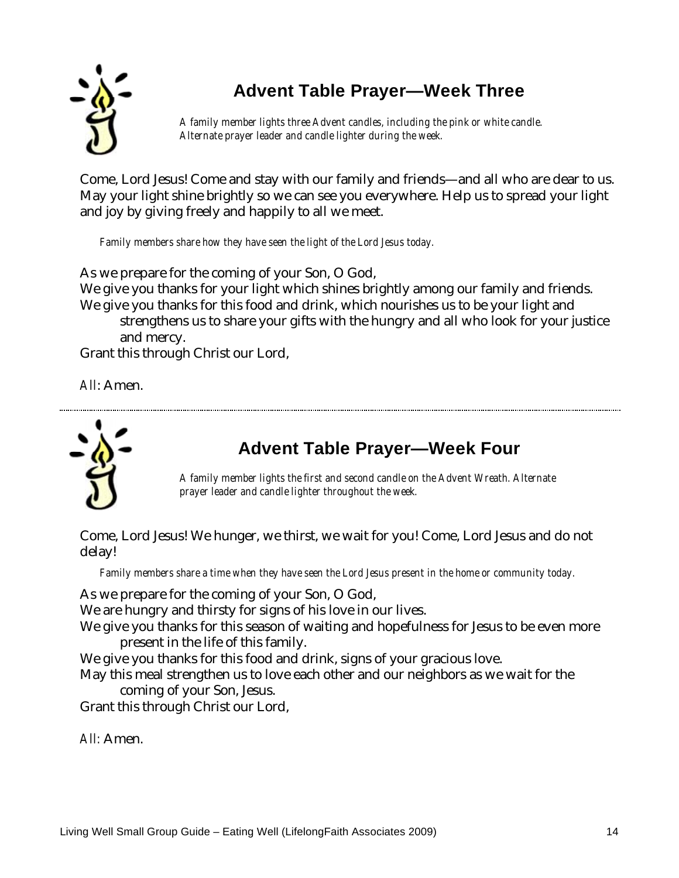

## **Advent Table Prayer—Week Three**

*A family member lights three Advent candles, including the pink or white candle. Alternate prayer leader and candle lighter during the week.* 

Come, Lord Jesus! Come and stay with our family and friends—and all who are dear to us. May your light shine brightly so we can see you everywhere. Help us to spread your light and joy by giving freely and happily to all we meet.

*Family members share how they have seen the light of the Lord Jesus today.* 

As we prepare for the coming of your Son, O God, We give you thanks for your light which shines brightly among our family and friends. We give you thanks for this food and drink, which nourishes us to be your light and strengthens us to share your gifts with the hungry and all who look for your justice and mercy.

Grant this through Christ our Lord,

*All*: Amen.



## **Advent Table Prayer—Week Four**

*A family member lights the first and second candle on the Advent Wreath. Alternate prayer leader and candle lighter throughout the week.* 

Come, Lord Jesus! We hunger, we thirst, we wait for you! Come, Lord Jesus and do not delay!

*Family members share a time when they have seen the Lord Jesus present in the home or community today.* 

As we prepare for the coming of your Son, O God,

We are hungry and thirsty for signs of his love in our lives.

We give you thanks for this season of waiting and hopefulness for Jesus to be even more present in the life of this family.

We give you thanks for this food and drink, signs of your gracious love.

May this meal strengthen us to love each other and our neighbors as we wait for the coming of your Son, Jesus.

Grant this through Christ our Lord,

*All:* Amen.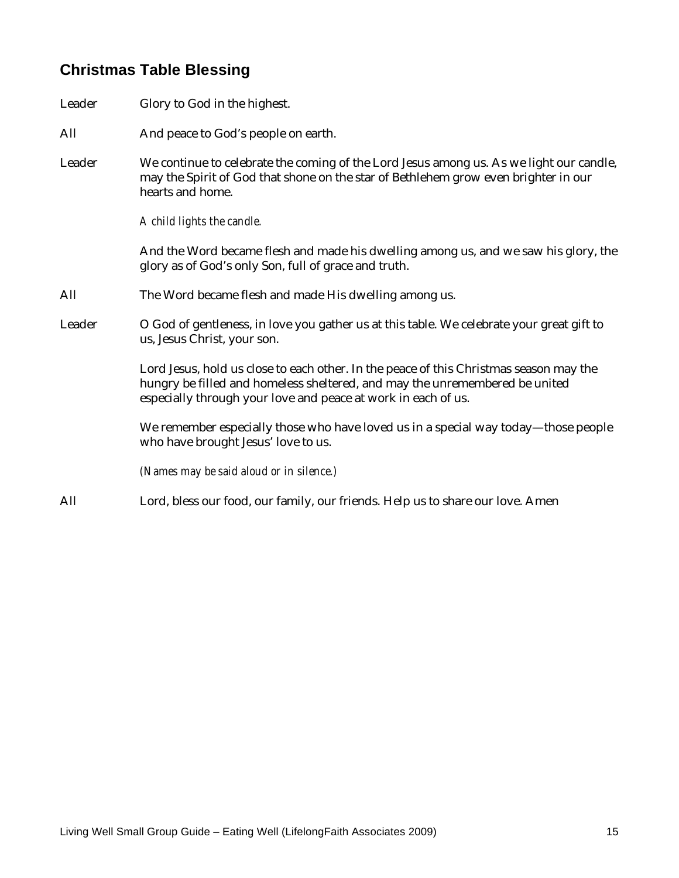## **Christmas Table Blessing**

- Leader Glory to God in the highest.
- All And peace to God's people on earth.
- Leader We continue to celebrate the coming of the Lord Jesus among us. As we light our candle, may the Spirit of God that shone on the star of Bethlehem grow even brighter in our hearts and home.

*A child lights the candle.* 

And the Word became flesh and made his dwelling among us, and we saw his glory, the glory as of God's only Son, full of grace and truth.

- All The Word became flesh and made His dwelling among us.
- Leader O God of gentleness, in love you gather us at this table. We celebrate your great gift to us, Jesus Christ, your son.

Lord Jesus, hold us close to each other. In the peace of this Christmas season may the hungry be filled and homeless sheltered, and may the unremembered be united especially through your love and peace at work in each of us.

We remember especially those who have loved us in a special way today—those people who have brought Jesus' love to us.

*(Names may be said aloud or in silence.)* 

All Lord, bless our food, our family, our friends. Help us to share our love. Amen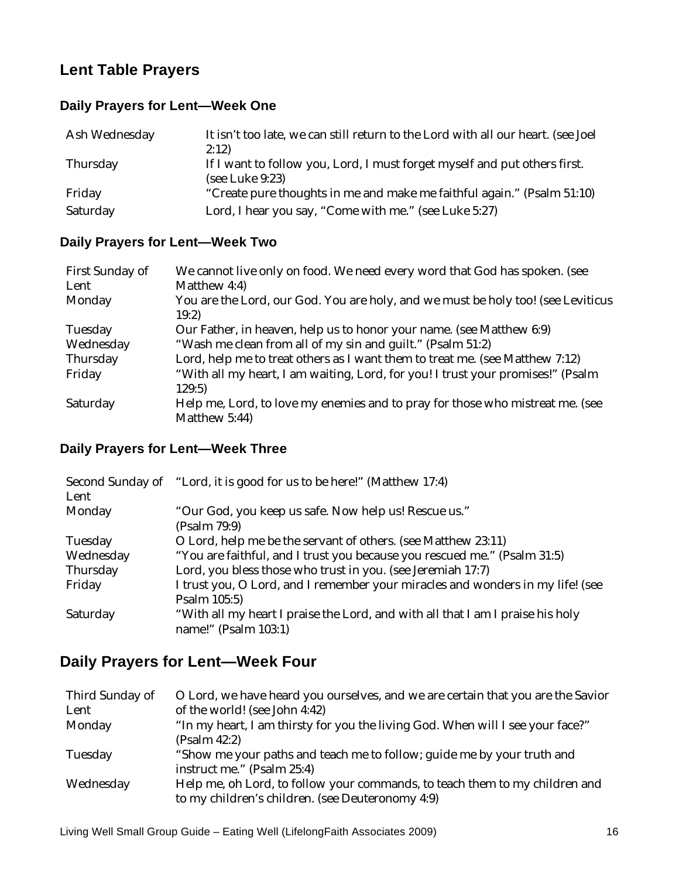## **Lent Table Prayers**

#### **Daily Prayers for Lent—Week One**

| Ash Wednesday | It isn't too late, we can still return to the Lord with all our heart. (see Joel<br>2:12)    |
|---------------|----------------------------------------------------------------------------------------------|
| Thursday      | If I want to follow you, Lord, I must forget myself and put others first.<br>(see Luke 9:23) |
| Friday        | "Create pure thoughts in me and make me faithful again." (Psalm 51:10)                       |
| Saturday      | Lord, I hear you say, "Come with me." (see Luke 5:27)                                        |

#### **Daily Prayers for Lent—Week Two**

| First Sunday of | We cannot live only on food. We need every word that God has spoken. (see                 |
|-----------------|-------------------------------------------------------------------------------------------|
| Lent            | Matthew 4:4)                                                                              |
| Monday          | You are the Lord, our God. You are holy, and we must be holy too! (see Leviticus<br>19:2) |
| Tuesday         | Our Father, in heaven, help us to honor your name. (see Matthew 6:9)                      |
| Wednesday       | "Wash me clean from all of my sin and quilt." (Psalm 51:2)                                |
| Thursday        | Lord, help me to treat others as I want them to treat me. (see Matthew 7:12)              |
| Friday          | "With all my heart, I am waiting, Lord, for you! I trust your promises!" (Psalm<br>129:5) |
| Saturday        | Help me, Lord, to love my enemies and to pray for those who mistreat me. (see             |
|                 | Matthew 5:44)                                                                             |

### **Daily Prayers for Lent—Week Three**

| Second Sunday of<br>Lent | "Lord, it is good for us to be here!" (Matthew 17:4)                                                   |
|--------------------------|--------------------------------------------------------------------------------------------------------|
| Monday                   | "Our God, you keep us safe. Now help us! Rescue us."<br>(Psalm 79:9)                                   |
| Tuesday                  | O Lord, help me be the servant of others. (see Matthew 23:11)                                          |
| Wednesday                | "You are faithful, and I trust you because you rescued me." (Psalm 31:5)                               |
| Thursday                 | Lord, you bless those who trust in you. (see Jeremiah 17:7)                                            |
| Friday                   | I trust you, O Lord, and I remember your miracles and wonders in my life! (see<br>Psalm 105:5)         |
| Saturday                 | "With all my heart I praise the Lord, and with all that I am I praise his holy<br>name!" (Psalm 103:1) |

## **Daily Prayers for Lent—Week Four**

| Third Sunday of | O Lord, we have heard you ourselves, and we are certain that you are the Savior |
|-----------------|---------------------------------------------------------------------------------|
| Lent            | of the world! (see John 4:42)                                                   |
| Monday          | "In my heart, I am thirsty for you the living God. When will I see your face?"  |
|                 | (Psalm 42:2)                                                                    |
| Tuesday         | "Show me your paths and teach me to follow; guide me by your truth and          |
|                 | instruct me." (Psalm 25:4)                                                      |
| Wednesday       | Help me, oh Lord, to follow your commands, to teach them to my children and     |
|                 | to my children's children. (see Deuteronomy 4:9)                                |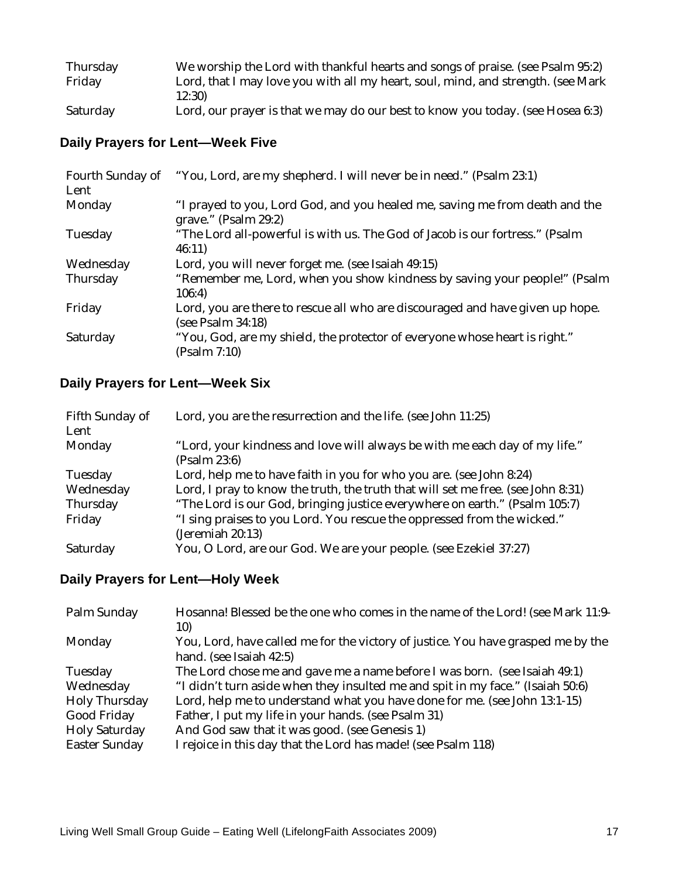| Thursday                      | We worship the Lord with thankful hearts and songs of praise. (see Psalm 95:2)   |
|-------------------------------|----------------------------------------------------------------------------------|
| Friday                        | Lord, that I may love you with all my heart, soul, mind, and strength. (see Mark |
|                               | 12:30)                                                                           |
| $C_{\alpha+1}$ $C_{\alpha+1}$ | $\sim$ 0.00 august 1.2)                                                          |

#### Saturday Lord, our prayer is that we may do our best to know you today. (see Hosea 6:3)

### **Daily Prayers for Lent—Week Five**

| Fourth Sunday of<br>Lent | "You, Lord, are my shepherd. I will never be in need." (Psalm 23:1)                                 |
|--------------------------|-----------------------------------------------------------------------------------------------------|
| Monday                   | "I prayed to you, Lord God, and you healed me, saving me from death and the<br>grave." (Psalm 29:2) |
| Tuesday                  | "The Lord all-powerful is with us. The God of Jacob is our fortress." (Psalm<br>46:11)              |
| Wednesday                | Lord, you will never forget me. (see Isaiah 49:15)                                                  |
| Thursday                 | "Remember me, Lord, when you show kindness by saving your people!" (Psalm<br>106:4)                 |
| Friday                   | Lord, you are there to rescue all who are discouraged and have given up hope.<br>(see Psalm 34:18)  |
| Saturday                 | "You, God, are my shield, the protector of everyone whose heart is right."<br>(Psalm 7:10)          |

### **Daily Prayers for Lent—Week Six**

| Fifth Sunday of<br>Lent | Lord, you are the resurrection and the life. (see John 11:25)                              |
|-------------------------|--------------------------------------------------------------------------------------------|
| Monday                  | "Lord, your kindness and love will always be with me each day of my life."<br>(Psalm 23:6) |
| Tuesday                 | Lord, help me to have faith in you for who you are. (see John 8:24)                        |
| Wednesday               | Lord, I pray to know the truth, the truth that will set me free. (see John 8:31)           |
| Thursday                | "The Lord is our God, bringing justice everywhere on earth." (Psalm 105:7)                 |
| Friday                  | "I sing praises to you Lord. You rescue the oppressed from the wicked."                    |
|                         | (Jeremiah 20:13)                                                                           |
| Saturday                | You, O Lord, are our God. We are your people. (see Ezekiel 37:27)                          |

#### **Daily Prayers for Lent—Holy Week**

| You, Lord, have called me for the victory of justice. You have grasped me by the |
|----------------------------------------------------------------------------------|
|                                                                                  |
|                                                                                  |
|                                                                                  |
|                                                                                  |
|                                                                                  |
|                                                                                  |
|                                                                                  |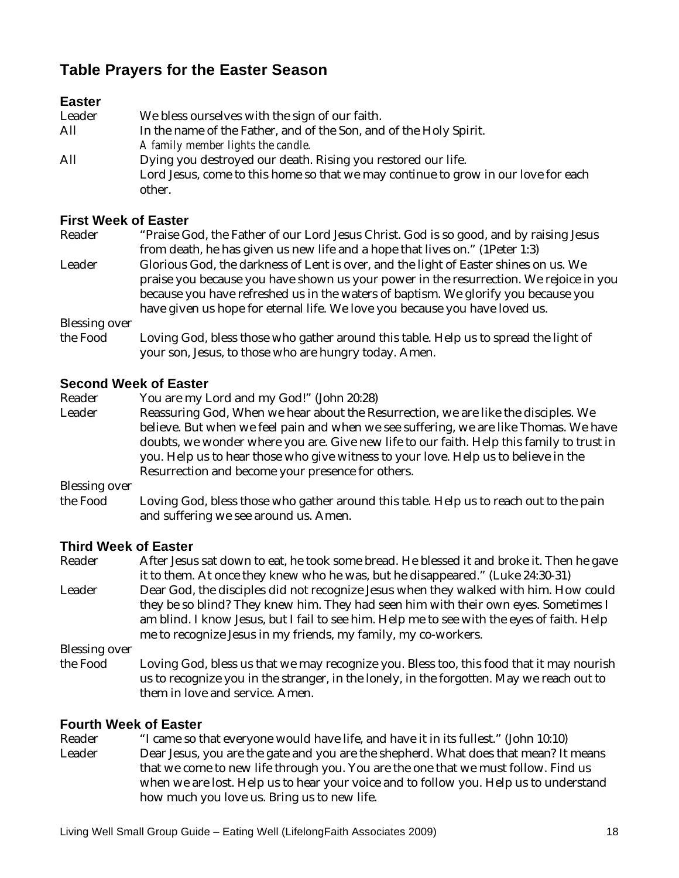## **Table Prayers for the Easter Season**

#### **Easter**

| Leader | We bless ourselves with the sign of our faith.                                     |
|--------|------------------------------------------------------------------------------------|
| All    | In the name of the Father, and of the Son, and of the Holy Spirit.                 |
|        | A family member lights the candle.                                                 |
| All    | Dying you destroyed our death. Rising you restored our life.                       |
|        | Lord Jesus, come to this home so that we may continue to grow in our love for each |
|        | other.                                                                             |

#### **First Week of Easter**

Reader "Praise God, the Father of our Lord Jesus Christ. God is so good, and by raising Jesus from death, he has given us new life and a hope that lives on." (1Peter 1:3) Leader Glorious God, the darkness of Lent is over, and the light of Easter shines on us. We praise you because you have shown us your power in the resurrection. We rejoice in you because you have refreshed us in the waters of baptism. We glorify you because you have given us hope for eternal life. We love you because you have loved us.

Blessing over

the Food Loving God, bless those who gather around this table. Help us to spread the light of your son, Jesus, to those who are hungry today. Amen.

#### **Second Week of Easter**

Reader You are my Lord and my God!" (John 20:28)

Leader Reassuring God, When we hear about the Resurrection, we are like the disciples. We believe. But when we feel pain and when we see suffering, we are like Thomas. We have doubts, we wonder where you are. Give new life to our faith. Help this family to trust in you. Help us to hear those who give witness to your love. Help us to believe in the Resurrection and become your presence for others.

Blessing over

the Food Loving God, bless those who gather around this table. Help us to reach out to the pain and suffering we see around us. Amen.

# **Third Week of Easter**

After Jesus sat down to eat, he took some bread. He blessed it and broke it. Then he gave it to them. At once they knew who he was, but he disappeared." (Luke 24:30-31) Leader Dear God, the disciples did not recognize Jesus when they walked with him. How could they be so blind? They knew him. They had seen him with their own eyes. Sometimes I am blind. I know Jesus, but I fail to see him. Help me to see with the eyes of faith. Help me to recognize Jesus in my friends, my family, my co-workers.

Blessing over

the Food Loving God, bless us that we may recognize you. Bless too, this food that it may nourish us to recognize you in the stranger, in the lonely, in the forgotten. May we reach out to them in love and service. Amen.

# **Fourth Week of Easter**

"I came so that everyone would have life, and have it in its fullest." (John 10:10) Leader Dear Jesus, you are the gate and you are the shepherd. What does that mean? It means that we come to new life through you. You are the one that we must follow. Find us when we are lost. Help us to hear your voice and to follow you. Help us to understand how much you love us. Bring us to new life.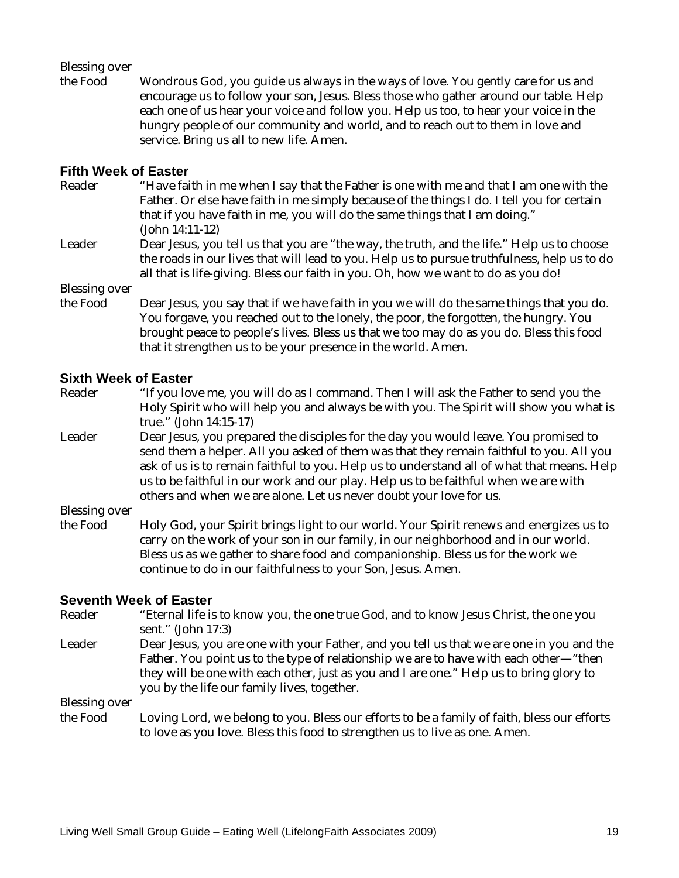#### Blessing over

the Food Wondrous God, you guide us always in the ways of love. You gently care for us and encourage us to follow your son, Jesus. Bless those who gather around our table. Help each one of us hear your voice and follow you. Help us too, to hear your voice in the hungry people of our community and world, and to reach out to them in love and service. Bring us all to new life. Amen.

#### **Fifth Week of Easter**

- Reader "Have faith in me when I say that the Father is one with me and that I am one with the Father. Or else have faith in me simply because of the things I do. I tell you for certain that if you have faith in me, you will do the same things that I am doing." (John 14:11-12)
- Leader Dear Jesus, you tell us that you are "the way, the truth, and the life." Help us to choose the roads in our lives that will lead to you. Help us to pursue truthfulness, help us to do all that is life-giving. Bless our faith in you. Oh, how we want to do as you do!

Blessing over

the Food Dear Jesus, you say that if we have faith in you we will do the same things that you do. You forgave, you reached out to the lonely, the poor, the forgotten, the hungry. You brought peace to people's lives. Bless us that we too may do as you do. Bless this food that it strengthen us to be your presence in the world. Amen.

# **Sixth Week of Easter**<br>Reader *"If you low*

- "If you love me, you will do as I command. Then I will ask the Father to send you the Holy Spirit who will help you and always be with you. The Spirit will show you what is true." (John 14:15-17)
- Leader Dear Jesus, you prepared the disciples for the day you would leave. You promised to send them a helper. All you asked of them was that they remain faithful to you. All you ask of us is to remain faithful to you. Help us to understand all of what that means. Help us to be faithful in our work and our play. Help us to be faithful when we are with others and when we are alone. Let us never doubt your love for us.

Blessing over

the Food Holy God, your Spirit brings light to our world. Your Spirit renews and energizes us to carry on the work of your son in our family, in our neighborhood and in our world. Bless us as we gather to share food and companionship. Bless us for the work we continue to do in our faithfulness to your Son, Jesus. Amen.

# **Seventh Week of Easter**<br>Reader *C* "Eternal life is

- "Eternal life is to know you, the one true God, and to know Jesus Christ, the one you sent." (John 17:3) Leader Dear Jesus, you are one with your Father, and you tell us that we are one in you and the
- Father. You point us to the type of relationship we are to have with each other—"then they will be one with each other, just as you and I are one." Help us to bring glory to you by the life our family lives, together.

Blessing over

the Food Loving Lord, we belong to you. Bless our efforts to be a family of faith, bless our efforts to love as you love. Bless this food to strengthen us to live as one. Amen.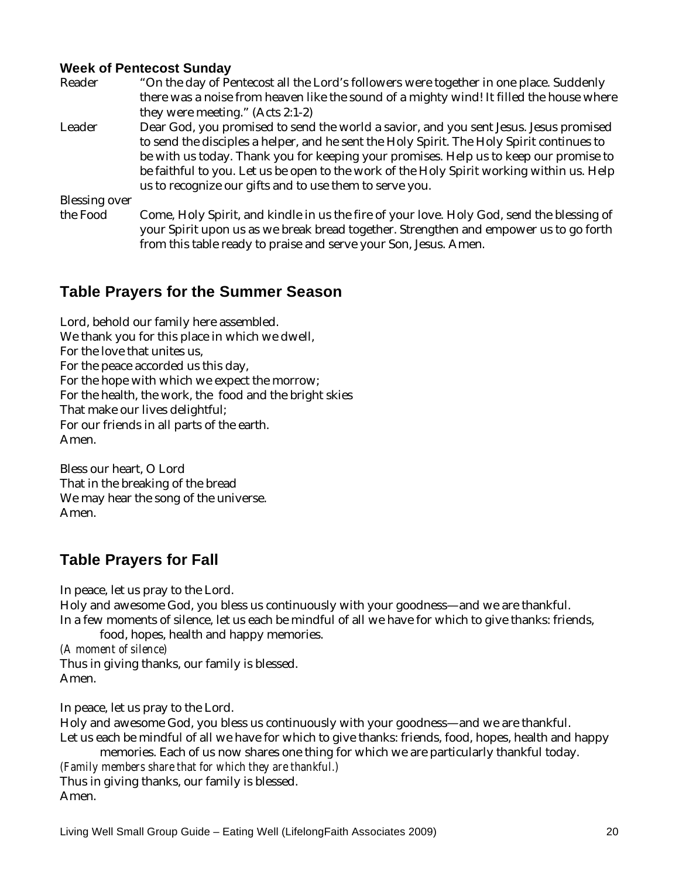#### **Week of Pentecost Sunday**

| Reader        | "On the day of Pentecost all the Lord's followers were together in one place. Suddenly    |
|---------------|-------------------------------------------------------------------------------------------|
|               | there was a noise from heaven like the sound of a mighty wind! It filled the house where  |
|               | they were meeting." (Acts 2:1-2)                                                          |
| Leader        | Dear God, you promised to send the world a savior, and you sent Jesus. Jesus promised     |
|               | to send the disciples a helper, and he sent the Holy Spirit. The Holy Spirit continues to |
|               | be with us today. Thank you for keeping your promises. Help us to keep our promise to     |
|               | be faithful to you. Let us be open to the work of the Holy Spirit working within us. Help |
|               | us to recognize our gifts and to use them to serve you.                                   |
| Blessing over |                                                                                           |
| the $End$     | Came Haly Spirit and kindle in us the fire of your love Haly Cad send the blossing of     |

the Food Come, Holy Spirit, and kindle in us the fire of your love. Holy God, send the blessing of your Spirit upon us as we break bread together. Strengthen and empower us to go forth from this table ready to praise and serve your Son, Jesus. Amen.

## **Table Prayers for the Summer Season**

Lord, behold our family here assembled. We thank you for this place in which we dwell, For the love that unites us, For the peace accorded us this day, For the hope with which we expect the morrow; For the health, the work, the food and the bright skies That make our lives delightful; For our friends in all parts of the earth. Amen.

Bless our heart, O Lord That in the breaking of the bread We may hear the song of the universe. Amen.

## **Table Prayers for Fall**

In peace, let us pray to the Lord.

Holy and awesome God, you bless us continuously with your goodness—and we are thankful. In a few moments of silence, let us each be mindful of all we have for which to give thanks: friends,

food, hopes, health and happy memories.

*(A moment of silence)*  Thus in giving thanks, our family is blessed. Amen.

In peace, let us pray to the Lord.

Holy and awesome God, you bless us continuously with your goodness—and we are thankful. Let us each be mindful of all we have for which to give thanks: friends, food, hopes, health and happy memories. Each of us now shares one thing for which we are particularly thankful today.

*(Family members share that for which they are thankful.)*  Thus in giving thanks, our family is blessed. Amen.